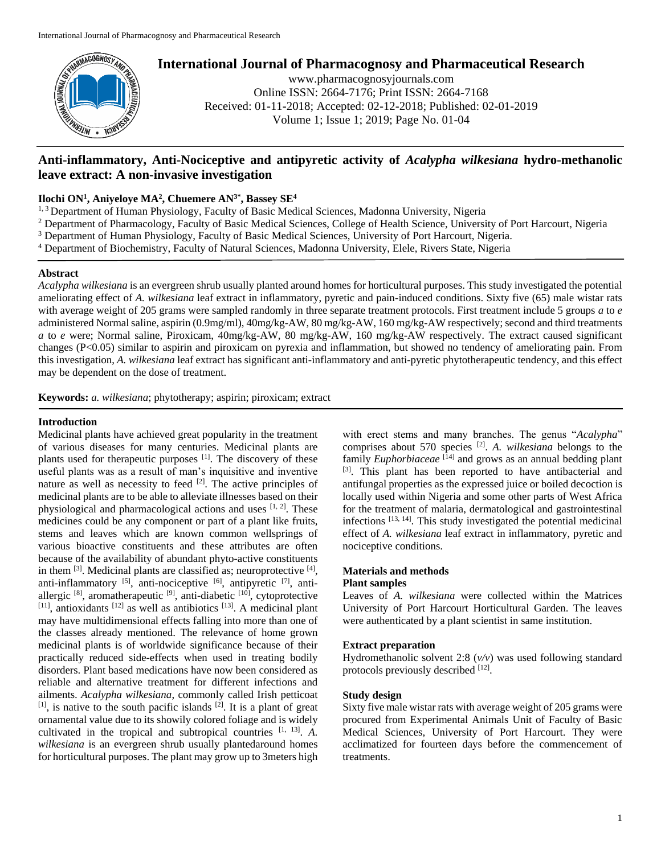

# **International Journal of Pharmacognosy and Pharmaceutical Research**

www.pharmacognosyjournals.com Online ISSN: 2664-7176; Print ISSN: 2664-7168 Received: 01-11-2018; Accepted: 02-12-2018; Published: 02-01-2019 Volume 1; Issue 1; 2019; Page No. 01-04

# **Anti-inflammatory, Anti-Nociceptive and antipyretic activity of** *Acalypha wilkesiana* **hydro-methanolic leave extract: A non-invasive investigation**

# **Ilochi ON<sup>1</sup> , Aniyeloye MA<sup>2</sup> , Chuemere AN3\*, Bassey SE<sup>4</sup>**

<sup>1, 3</sup> Department of Human Physiology, Faculty of Basic Medical Sciences, Madonna University, Nigeria

- <sup>2</sup> Department of Pharmacology, Faculty of Basic Medical Sciences, College of Health Science, University of Port Harcourt, Nigeria
- <sup>3</sup> Department of Human Physiology, Faculty of Basic Medical Sciences, University of Port Harcourt, Nigeria.
- <sup>4</sup> Department of Biochemistry, Faculty of Natural Sciences, Madonna University, Elele, Rivers State, Nigeria

#### **Abstract**

*Acalypha wilkesiana* is an evergreen shrub usually planted around homes for horticultural purposes. This study investigated the potential ameliorating effect of *A. wilkesiana* leaf extract in inflammatory, pyretic and pain-induced conditions. Sixty five (65) male wistar rats with average weight of 205 grams were sampled randomly in three separate treatment protocols. First treatment include 5 groups *a* to *e*  administered Normal saline, aspirin (0.9mg/ml), 40mg/kg-AW, 80 mg/kg-AW, 160 mg/kg-AW respectively; second and third treatments *a* to *e* were; Normal saline, Piroxicam, 40mg/kg-AW, 80 mg/kg-AW, 160 mg/kg-AW respectively. The extract caused significant changes (P<0.05) similar to aspirin and piroxicam on pyrexia and inflammation, but showed no tendency of ameliorating pain. From this investigation, *A. wilkesiana* leaf extract has significant anti-inflammatory and anti-pyretic phytotherapeutic tendency, and this effect may be dependent on the dose of treatment.

**Keywords:** *a. wilkesiana*; phytotherapy; aspirin; piroxicam; extract

## **Introduction**

Medicinal plants have achieved great popularity in the treatment of various diseases for many centuries. Medicinal plants are plants used for therapeutic purposes [1]. The discovery of these useful plants was as a result of man's inquisitive and inventive nature as well as necessity to feed  $[2]$ . The active principles of medicinal plants are to be able to alleviate illnesses based on their physiological and pharmacological actions and uses  $[1, 2]$ . These medicines could be any component or part of a plant like fruits, stems and leaves which are known common wellsprings of various bioactive constituents and these attributes are often because of the availability of abundant phyto-active constituents in them  $^{[3]}$ . Medicinal plants are classified as; neuroprotective  $^{[4]}$ , anti-inflammatory  $^{[5]}$ , anti-nociceptive  $^{[6]}$ , antipyretic  $^{[7]}$ , antiallergic  $[8]$ , aromatherapeutic  $[9]$ , anti-diabetic  $[10]$ , cytoprotective  $[11]$ , antioxidants  $[12]$  as well as antibiotics  $[13]$ . A medicinal plant may have multidimensional effects falling into more than one of the classes already mentioned. The relevance of home grown medicinal plants is of worldwide significance because of their practically reduced side-effects when used in treating bodily disorders. Plant based medications have now been considered as reliable and alternative treatment for different infections and ailments. *Acalypha wilkesiana*, commonly called Irish petticoat  $[1]$ , is native to the south pacific islands  $[2]$ . It is a plant of great ornamental value due to its showily colored foliage and is widely cultivated in the tropical and subtropical countries [1, 13] . *A. wilkesiana* is an evergreen shrub usually plantedaround homes for horticultural purposes. The plant may grow up to 3meters high

with erect stems and many branches. The genus "*Acalypha*" comprises about 570 species [2] . *A. wilkesiana* belongs to the family *Euphorbiaceae* [14] and grows as an annual bedding plant [3]. This plant has been reported to have antibacterial and antifungal properties as the expressed juice or boiled decoction is locally used within Nigeria and some other parts of West Africa for the treatment of malaria, dermatological and gastrointestinal infections [13, 14]. This study investigated the potential medicinal effect of *A. wilkesiana* leaf extract in inflammatory, pyretic and nociceptive conditions.

## **Materials and methods**

## **Plant samples**

Leaves of *A. wilkesiana* were collected within the Matrices University of Port Harcourt Horticultural Garden. The leaves were authenticated by a plant scientist in same institution.

#### **Extract preparation**

Hydromethanolic solvent 2:8 (*v/v*) was used following standard protocols previously described [12].

# **Study design**

Sixty five male wistar rats with average weight of 205 grams were procured from Experimental Animals Unit of Faculty of Basic Medical Sciences, University of Port Harcourt. They were acclimatized for fourteen days before the commencement of treatments.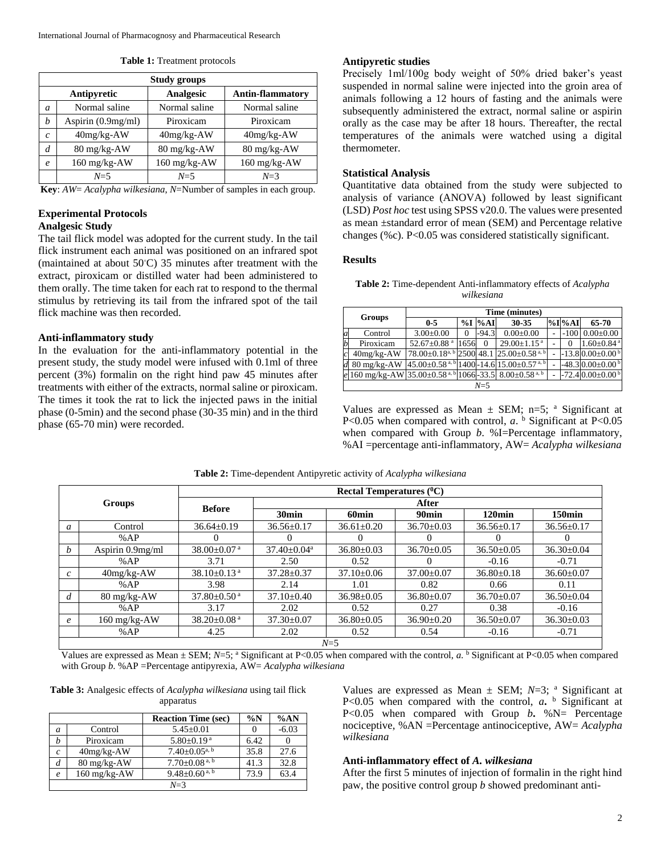|  |  | <b>Table 1:</b> Treatment protocols |  |  |
|--|--|-------------------------------------|--|--|
|--|--|-------------------------------------|--|--|

|                                                            | <b>Study groups</b> |                |                |  |  |  |  |  |
|------------------------------------------------------------|---------------------|----------------|----------------|--|--|--|--|--|
| <b>Analgesic</b><br>Antipyretic<br><b>Antin-flammatory</b> |                     |                |                |  |  |  |  |  |
| a                                                          | Normal saline       | Normal saline  | Normal saline  |  |  |  |  |  |
| h                                                          | Aspirin (0.9mg/ml)  | Piroxicam      | Piroxicam      |  |  |  |  |  |
| C                                                          | $40mg/kg-AW$        | $40mg/kg-AW$   | $40mg/kg-AW$   |  |  |  |  |  |
| d                                                          | 80 mg/kg-AW         | 80 mg/kg-AW    | 80 mg/kg-AW    |  |  |  |  |  |
| $\boldsymbol{\rho}$                                        | 160 mg/kg-AW        | $160$ mg/kg-AW | $160$ mg/kg-AW |  |  |  |  |  |
|                                                            | $N=5$               | $N=5$          | $N=3$          |  |  |  |  |  |

**Key**: *AW*= *Acalypha wilkesiana*, *N*=Number of samples in each group.

# **Experimental Protocols**

# **Analgesic Study**

The tail flick model was adopted for the current study. In the tail flick instrument each animal was positioned on an infrared spot (maintained at about 50◦C) 35 minutes after treatment with the extract, piroxicam or distilled water had been administered to them orally. The time taken for each rat to respond to the thermal stimulus by retrieving its tail from the infrared spot of the tail flick machine was then recorded.

#### **Anti-inflammatory study**

In the evaluation for the anti-inflammatory potential in the present study, the study model were infused with 0.1ml of three percent (3%) formalin on the right hind paw 45 minutes after treatments with either of the extracts, normal saline or piroxicam. The times it took the rat to lick the injected paws in the initial phase (0-5min) and the second phase (30-35 min) and in the third phase (65-70 min) were recorded.

#### **Antipyretic studies**

Precisely 1ml/100g body weight of 50% dried baker's yeast suspended in normal saline were injected into the groin area of animals following a 12 hours of fasting and the animals were subsequently administered the extract, normal saline or aspirin orally as the case may be after 18 hours. Thereafter, the rectal temperatures of the animals were watched using a digital thermometer.

#### **Statistical Analysis**

Quantitative data obtained from the study were subjected to analysis of variance (ANOVA) followed by least significant (LSD) *Post hoc* test using SPSS v20.0. The values were presented as mean ±standard error of mean (SEM) and Percentage relative changes (%c). P<0.05 was considered statistically significant.

# **Results**

**Table 2:** Time-dependent Anti-inflammatory effects of *Acalypha wilkesiana*

| <b>Groups</b> |                                                                               | Time (minutes)                                                              |      |            |                                                                  |  |          |                              |
|---------------|-------------------------------------------------------------------------------|-----------------------------------------------------------------------------|------|------------|------------------------------------------------------------------|--|----------|------------------------------|
|               |                                                                               | $0 - 5$                                                                     |      | $%I$ $%AI$ | 30-35                                                            |  | $%I\%AI$ | 65-70                        |
|               | Control                                                                       | $3.00 \pm 0.00$                                                             |      | $-94.3$    | $0.00 \pm 0.00$                                                  |  |          | $-100$ 0.00 $\pm$ 0.00       |
|               | Piroxicam                                                                     | 52.67 $\pm$ 0.88 $a$                                                        | 1656 | $\Omega$   | $29.00 \pm 1.15$ <sup>a</sup>                                    |  |          | $1.60 \pm 0.84$ <sup>a</sup> |
|               | $40mg/kg-AW$                                                                  |                                                                             |      |            | $78.00\pm0.18^{a, b}$ 2500 48.1 25.00 $\pm$ 0.58 <sup>a, b</sup> |  |          | $-13.8 0.00\pm0.00 $         |
|               | $80 \text{ mg/kg-AW}$                                                         | $45.00\pm0.58$ <sup>a, b</sup> $1400-14.6$ 15.00 $\pm$ 0.57 <sup>a, b</sup> |      |            |                                                                  |  |          | $-48.3 0.00\pm0.00 $         |
|               | e 160 mg/kg-AW 35.00±0.58 <sup>a, b</sup> 1066-33.5 8.00±0.58 <sup>a, b</sup> |                                                                             |      |            |                                                                  |  |          | $-72.4 0.00\pm0.00 $         |
|               | $N=5$                                                                         |                                                                             |      |            |                                                                  |  |          |                              |

Values are expressed as Mean  $\pm$  SEM; n=5; <sup>a</sup> Significant at P<0.05 when compared with control,  $a$ .  $\frac{b}{b}$  Significant at P<0.05 when compared with Group *b*. %I=Percentage inflammatory, %AI =percentage anti-inflammatory, AW= *Acalypha wilkesiana*

|                  |                        | Rectal Temperatures $(^0C)$   |                               |                   |                   |                  |                  |  |
|------------------|------------------------|-------------------------------|-------------------------------|-------------------|-------------------|------------------|------------------|--|
| Groups           |                        | <b>Before</b>                 | After                         |                   |                   |                  |                  |  |
|                  |                        |                               | 30 <sub>min</sub>             | 60 <sub>min</sub> | 90 <sub>min</sub> | 120min           | 150min           |  |
| a                | Control                | $36.64 \pm 0.19$              | $36.56 \pm 0.17$              | $36.61 \pm 0.20$  | $36.70 \pm 0.03$  | $36.56 \pm 0.17$ | $36.56 \pm 0.17$ |  |
|                  | % $AP$                 |                               | $\theta$                      |                   |                   | $\theta$         | $\theta$         |  |
| $\boldsymbol{b}$ | Aspirin 0.9mg/ml       | 38.00 $\pm$ 0.07 $^{\rm a}$   | $37.40 \pm 0.04$ <sup>a</sup> | $36.80 \pm 0.03$  | $36.70 \pm 0.05$  | $36.50 \pm 0.05$ | $36.30 \pm 0.04$ |  |
|                  | % $AP$                 | 3.71                          | 2.50                          | 0.52              |                   | $-0.16$          | $-0.71$          |  |
| $\mathcal{C}$    | $40mg/kg-AW$           | 38.10 $\pm$ 0.13 <sup>a</sup> | $37.28 \pm 0.37$              | $37.10 \pm 0.06$  | $37.00 \pm 0.07$  | $36.80 \pm 0.18$ | $36.60 \pm 0.07$ |  |
|                  | % $AP$                 | 3.98                          | 2.14                          | 1.01              | 0.82              | 0.66             | 0.11             |  |
| d                | $80 \text{ mg/kg-AW}$  | $37.80 \pm 0.50$ <sup>a</sup> | $37.10 \pm 0.40$              | $36.98 \pm 0.05$  | $36.80 \pm 0.07$  | $36.70 \pm 0.07$ | $36.50 \pm 0.04$ |  |
|                  | %AP                    | 3.17                          | 2.02                          | 0.52              | 0.27              | 0.38             | $-0.16$          |  |
| $\epsilon$       | $160 \text{ mg/kg-AW}$ | 38.20 $\pm$ 0.08 <sup>a</sup> | $37.30 \pm 0.07$              | $36.80 \pm 0.05$  | $36.90 \pm 0.20$  | $36.50 \pm 0.07$ | $36.30\pm0.03$   |  |
|                  | %AP                    | 4.25                          | 2.02                          | 0.52              | 0.54              | $-0.16$          | $-0.71$          |  |
|                  | $N=5$                  |                               |                               |                   |                   |                  |                  |  |

**Table 2:** Time-dependent Antipyretic activity of *Acalypha wilkesiana*

Values are expressed as Mean  $\pm$  SEM; *N*=5; <sup>a</sup> Significant at P<0.05 when compared with the control, *a*. <sup>b</sup> Significant at P<0.05 when compared with Group *b*. %AP =Percentage antipyrexia, AW= *Acalypha wilkesiana*

| <b>Table 3:</b> Analgesic effects of <i>Acalypha wilkesiana</i> using tail flick |           |  |  |
|----------------------------------------------------------------------------------|-----------|--|--|
|                                                                                  | apparatus |  |  |

|                |                        | <b>Reaction Time (sec)</b>      | $\%N$ | %AN     |
|----------------|------------------------|---------------------------------|-------|---------|
| $\overline{a}$ | Control                | $5.45 \pm 0.01$                 |       | $-6.03$ |
| h              | Piroxicam              | $5.80 \pm 0.19$ <sup>a</sup>    | 6.42  |         |
| $\mathcal{C}$  | $40mg/kg-AW$           | $7.40+0.05^{a, b}$              | 35.8  | 27.6    |
| d              | 80 mg/kg-AW            | $7.70\pm0.08$ <sup>a, b</sup>   | 41.3  | 32.8    |
| $\epsilon$     | $160 \text{ mg/kg-AW}$ | $9.48 \pm 0.60$ <sup>a, b</sup> | 73.9  | 63.4    |
|                |                        | $N=3$                           |       |         |

Values are expressed as Mean  $\pm$  SEM; *N*=3; <sup>a</sup> Significant at P<0.05 when compared with the control,  $a$ ,  $\frac{b}{b}$  Significant at P<0.05 when compared with Group  $b$ **.** %N= Percentage nociceptive, %AN =Percentage antinociceptive, AW= *Acalypha wilkesiana*

# **Anti-inflammatory effect of** *A. wilkesiana*

After the first 5 minutes of injection of formalin in the right hind paw, the positive control group *b* showed predominant anti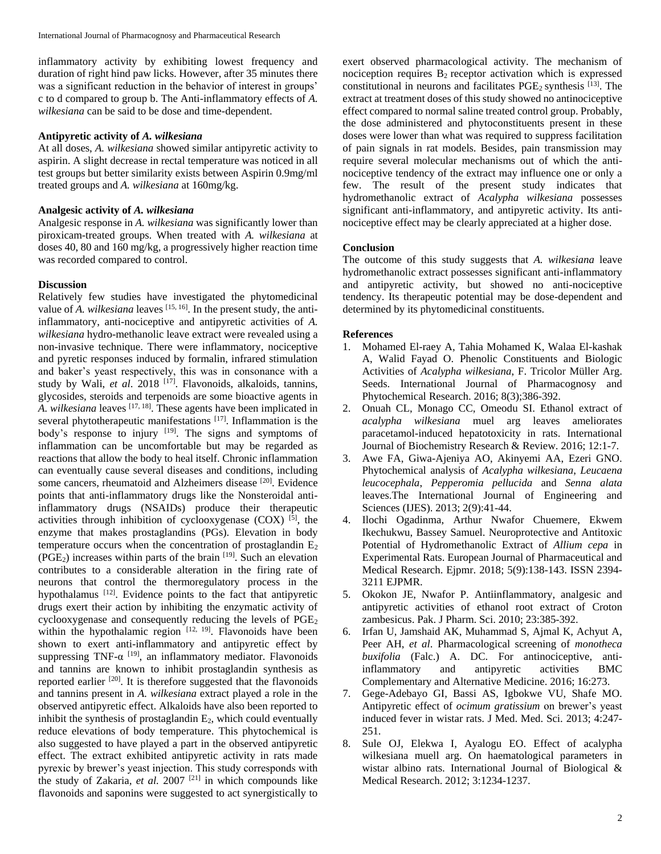inflammatory activity by exhibiting lowest frequency and duration of right hind paw licks. However, after 35 minutes there was a significant reduction in the behavior of interest in groups' c to d compared to group b. The Anti-inflammatory effects of *A. wilkesiana* can be said to be dose and time-dependent.

#### **Antipyretic activity of** *A. wilkesiana*

At all doses, *A. wilkesiana* showed similar antipyretic activity to aspirin. A slight decrease in rectal temperature was noticed in all test groups but better similarity exists between Aspirin 0.9mg/ml treated groups and *A. wilkesiana* at 160mg/kg.

#### **Analgesic activity of** *A. wilkesiana*

Analgesic response in *A. wilkesiana* was significantly lower than piroxicam-treated groups. When treated with *A. wilkesiana* at doses 40, 80 and 160 mg/kg, a progressively higher reaction time was recorded compared to control.

# **Discussion**

Relatively few studies have investigated the phytomedicinal value of *A. wilkesiana* leaves <sup>[15, 16]</sup>. In the present study, the antiinflammatory, anti-nociceptive and antipyretic activities of *A. wilkesiana* hydro-methanolic leave extract were revealed using a non-invasive technique. There were inflammatory, nociceptive and pyretic responses induced by formalin, infrared stimulation and baker's yeast respectively, this was in consonance with a study by Wali, *et al*. 2018 [17]. Flavonoids, alkaloids, tannins, glycosides, steroids and terpenoids are some bioactive agents in *A. wilkesiana* leaves [17, 18]. These agents have been implicated in several phytotherapeutic manifestations [17]. Inflammation is the body's response to injury  $[19]$ . The signs and symptoms of inflammation can be uncomfortable but may be regarded as reactions that allow the body to heal itself. Chronic inflammation can eventually cause several diseases and conditions, including some cancers, rheumatoid and Alzheimers disease [20]. Evidence points that anti-inflammatory drugs like the Nonsteroidal antiinflammatory drugs (NSAIDs) produce their therapeutic activities through inhibition of cyclooxygenase  $(COX)$  [5], the enzyme that makes prostaglandins (PGs). Elevation in body temperature occurs when the concentration of prostaglandin  $E_2$  $(PGE<sub>2</sub>)$  increases within parts of the brain  $[19]$ . Such an elevation contributes to a considerable alteration in the firing rate of neurons that control the thermoregulatory process in the hypothalamus [12]. Evidence points to the fact that antipyretic drugs exert their action by inhibiting the enzymatic activity of cyclooxygenase and consequently reducing the levels of PGE<sup>2</sup> within the hypothalamic region  $[12, 19]$ . Flavonoids have been shown to exert anti-inflammatory and antipyretic effect by suppressing TNF- $\alpha$ <sup>[19]</sup>, an inflammatory mediator. Flavonoids and tannins are known to inhibit prostaglandin synthesis as reported earlier [20]. It is therefore suggested that the flavonoids and tannins present in *A. wilkesiana* extract played a role in the observed antipyretic effect. Alkaloids have also been reported to inhibit the synthesis of prostaglandin  $E_2$ , which could eventually reduce elevations of body temperature. This phytochemical is also suggested to have played a part in the observed antipyretic effect. The extract exhibited antipyretic activity in rats made pyrexic by brewer's yeast injection. This study corresponds with the study of Zakaria*, et al.* 2007 [21] in which compounds like flavonoids and saponins were suggested to act synergistically to

exert observed pharmacological activity. The mechanism of nociception requires  $B_2$  receptor activation which is expressed constitutional in neurons and facilitates  $PGE_2$  synthesis  $^{[13]}$ . The extract at treatment doses of this study showed no antinociceptive effect compared to normal saline treated control group. Probably, the dose administered and phytoconstituents present in these doses were lower than what was required to suppress facilitation of pain signals in rat models. Besides, pain transmission may require several molecular mechanisms out of which the antinociceptive tendency of the extract may influence one or only a few. The result of the present study indicates that hydromethanolic extract of *Acalypha wilkesiana* possesses significant anti-inflammatory, and antipyretic activity. Its antinociceptive effect may be clearly appreciated at a higher dose.

# **Conclusion**

The outcome of this study suggests that *A. wilkesiana* leave hydromethanolic extract possesses significant anti-inflammatory and antipyretic activity, but showed no anti-nociceptive tendency. Its therapeutic potential may be dose-dependent and determined by its phytomedicinal constituents.

#### **References**

- 1. Mohamed El-raey A, Tahia Mohamed K, Walaa El-kashak A, Walid Fayad O. Phenolic Constituents and Biologic Activities of *Acalypha wilkesiana*, F. Tricolor Müller Arg. Seeds. International Journal of Pharmacognosy and Phytochemical Research. 2016; 8(3);386-392.
- 2. Onuah CL, Monago CC, Omeodu SI. Ethanol extract of *acalypha wilkesiana* muel arg leaves ameliorates paracetamol-induced hepatotoxicity in rats. International Journal of Biochemistry Research & Review. 2016; 12:1-7.
- 3. Awe FA, Giwa-Ajeniya AO, Akinyemi AA, Ezeri GNO. Phytochemical analysis of *Acalypha wilkesiana*, *Leucaena leucocephala*, *Pepperomia pellucida* and *Senna alata*  leaves.The International Journal of Engineering and Sciences (IJES). 2013; 2(9):41-44.
- 4. Ilochi Ogadinma, Arthur Nwafor Chuemere, Ekwem Ikechukwu, Bassey Samuel. Neuroprotective and Antitoxic Potential of Hydromethanolic Extract of *Allium cepa* in Experimental Rats. European Journal of Pharmaceutical and Medical Research. Ejpmr. 2018; 5(9):138-143. ISSN 2394- 3211 EJPMR.
- 5. Okokon JE, Nwafor P. Antiinflammatory, analgesic and antipyretic activities of ethanol root extract of Croton zambesicus. Pak. J Pharm. Sci. 2010; 23:385-392.
- 6. Irfan U, Jamshaid AK, Muhammad S, Ajmal K, Achyut A, Peer AH, *et al*. Pharmacological screening of *monotheca buxifolia* (Falc.) A. DC. For antinociceptive, antiinflammatory and antipyretic activities BMC Complementary and Alternative Medicine. 2016; 16:273.
- 7. Gege-Adebayo GI, Bassi AS, Igbokwe VU, Shafe MO. Antipyretic effect of *ocimum gratissium* on brewer's yeast induced fever in wistar rats. J Med. Med. Sci. 2013; 4:247- 251.
- 8. Sule OJ, Elekwa I, Ayalogu EO. Effect of acalypha wilkesiana muell arg. On haematological parameters in wistar albino rats. International Journal of Biological & Medical Research. 2012; 3:1234-1237.